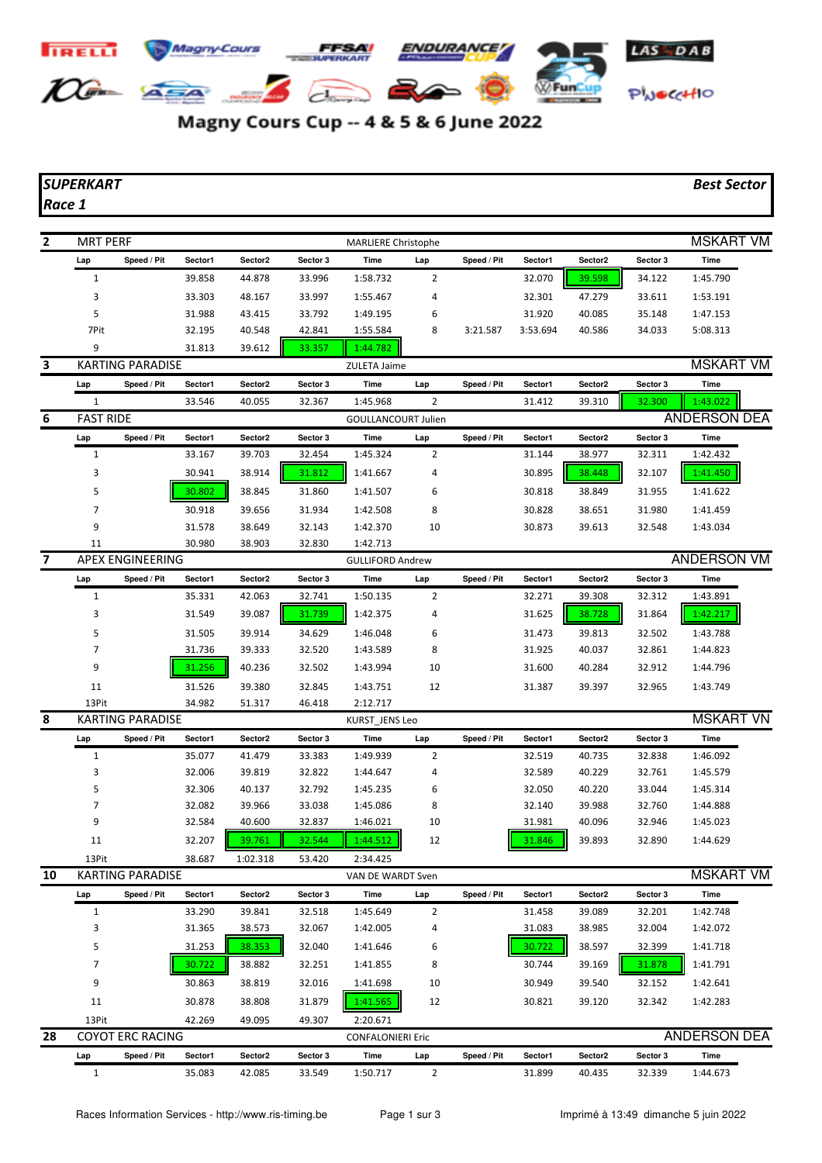

## Magny Cours Cup -- 4 & 5 & 6 June 2022

## *SUPERKART Best Sector*

*Race 1*

| $\overline{2}$ | <b>MRT PERF</b>         |                         |         |          |                | <b>MARLIERE Christophe</b> |                |             |          |         |          | <b>MSKART VM</b>    |
|----------------|-------------------------|-------------------------|---------|----------|----------------|----------------------------|----------------|-------------|----------|---------|----------|---------------------|
|                | Lap                     | Speed / Pit             | Sector1 | Sector2  | Sector 3       | <b>Time</b>                | Lap            | Speed / Pit | Sector1  | Sector2 | Sector 3 | <b>Time</b>         |
|                | $\mathbf{1}$            |                         | 39.858  | 44.878   | 33.996         | 1:58.732                   | $\overline{2}$ |             | 32.070   | 39.598  | 34.122   | 1:45.790            |
|                | 3                       |                         | 33.303  | 48.167   | 33.997         | 1:55.467                   | 4              |             | 32.301   | 47.279  | 33.611   | 1:53.191            |
|                | 5                       |                         | 31.988  | 43.415   | 33.792         | 1:49.195                   | 6              |             | 31.920   | 40.085  | 35.148   | 1:47.153            |
|                | 7Pit                    |                         | 32.195  | 40.548   | 42.841         | 1:55.584                   | 8              | 3:21.587    | 3:53.694 | 40.586  | 34.033   | 5:08.313            |
|                | 9                       |                         | 31.813  | 39.612   | 33.357         | 1:44.782                   |                |             |          |         |          |                     |
| 3              |                         | <b>KARTING PARADISE</b> |         |          |                | ZULETA Jaime               |                |             |          |         |          | <b>MSKART VM</b>    |
|                | Lap                     | Speed / Pit             | Sector1 | Sector2  | Sector 3       | Time                       | Lap            | Speed / Pit | Sector1  | Sector2 | Sector 3 | Time                |
|                | 1                       |                         | 33.546  | 40.055   | 32.367         | 1:45.968                   | $\overline{2}$ |             | 31.412   | 39.310  | 32.300   | 1:43.022            |
| 6              | <b>FAST RIDE</b>        |                         |         |          |                | <b>GOULLANCOURT Julien</b> |                |             |          |         |          | <b>ANDERSON DEA</b> |
|                | Lap                     | Speed / Pit             | Sector1 | Sector2  | Sector 3       | Time                       | Lap            | Speed / Pit | Sector1  | Sector2 | Sector 3 | Time                |
|                | $\mathbf{1}$            |                         | 33.167  | 39.703   | 32.454         | 1:45.324                   | $\overline{2}$ |             | 31.144   | 38.977  | 32.311   | 1:42.432            |
|                | 3                       |                         | 30.941  | 38.914   | 31.812         | 1:41.667                   | 4              |             | 30.895   | 38.448  | 32.107   | 1:41.450            |
|                | 5                       |                         | 30.802  | 38.845   | 31.860         | 1:41.507                   | 6              |             | 30.818   | 38.849  | 31.955   | 1:41.622            |
|                | $\overline{7}$          |                         | 30.918  | 39.656   | 31.934         | 1:42.508                   | 8              |             | 30.828   | 38.651  | 31.980   | 1:41.459            |
|                | 9                       |                         | 31.578  | 38.649   | 32.143         | 1:42.370                   | 10             |             | 30.873   | 39.613  | 32.548   | 1:43.034            |
|                | 11                      |                         | 30.980  | 38.903   | 32.830         | 1:42.713                   |                |             |          |         |          |                     |
| 7              |                         | <b>APEX ENGINEERING</b> |         |          |                | <b>GULLIFORD Andrew</b>    |                |             |          |         |          | <b>ANDERSON VM</b>  |
|                | Lap                     | Speed / Pit             | Sector1 | Sector2  | Sector 3       | <b>Time</b>                | Lap            | Speed / Pit | Sector1  | Sector2 | Sector 3 | Time                |
|                | 1                       |                         | 35.331  | 42.063   | 32.741         | 1:50.135                   | $\overline{2}$ |             | 32.271   | 39.308  | 32.312   | 1:43.891            |
|                | 3                       |                         | 31.549  | 39.087   | 31.739         | 1:42.375                   | 4              |             | 31.625   | 38.728  | 31.864   | 1:42.217            |
|                | 5                       |                         | 31.505  | 39.914   | 34.629         | 1:46.048                   | 6              |             | 31.473   | 39.813  | 32.502   | 1:43.788            |
|                | 7                       |                         | 31.736  | 39.333   | 32.520         | 1:43.589                   | 8              |             | 31.925   | 40.037  | 32.861   | 1:44.823            |
|                | 9                       |                         | 31.256  | 40.236   | 32.502         | 1:43.994                   | 10             |             | 31.600   | 40.284  | 32.912   | 1:44.796            |
|                | 11                      |                         | 31.526  | 39.380   | 32.845         | 1:43.751                   | 12             |             | 31.387   | 39.397  | 32.965   | 1:43.749            |
|                | 13Pit                   |                         | 34.982  | 51.317   | 46.418         | 2:12.717                   |                |             |          |         |          |                     |
| 8              | <b>KARTING PARADISE</b> |                         |         |          | KURST_JENS Leo |                            |                |             |          |         |          |                     |
|                | Lap                     | Speed / Pit             | Sector1 | Sector2  | Sector 3       | Time                       | Lap            | Speed / Pit | Sector1  | Sector2 | Sector 3 | Time                |
|                | $\mathbf{1}$            |                         | 35.077  | 41.479   | 33.383         | 1:49.939                   | $\overline{2}$ |             | 32.519   | 40.735  | 32.838   | 1:46.092            |
|                | 3                       |                         | 32.006  | 39.819   | 32.822         | 1:44.647                   | 4              |             | 32.589   | 40.229  | 32.761   | 1:45.579            |
|                | 5                       |                         | 32.306  | 40.137   | 32.792         | 1:45.235                   | 6              |             | 32.050   | 40.220  | 33.044   | 1:45.314            |
|                | 7                       |                         | 32.082  | 39.966   | 33.038         | 1:45.086                   | 8              |             | 32.140   | 39.988  | 32.760   | 1:44.888            |
|                | 9                       |                         | 32.584  | 40.600   | 32.837         | 1:46.021                   | 10             |             | 31.981   | 40.096  | 32.946   | 1:45.023            |
|                | 11                      |                         | 32.207  | 39.761   | 32.544         | 1:44.512                   | 12             |             | 31.846   | 39.893  | 32.890   | 1:44.629            |
|                | 13Pit                   |                         | 38.687  | 1:02.318 | 53.420         | 2:34.425                   |                |             |          |         |          |                     |
| 10             |                         | <b>KARTING PARADISE</b> |         |          |                | VAN DE WARDT Sven          |                |             |          |         |          | <b>MSKART VM</b>    |
|                | Lap                     | Speed / Pit             | Sector1 | Sector2  | Sector 3       | Time                       | Lap            | Speed / Pit | Sector1  | Sector2 | Sector 3 | Time                |
|                | $\mathbf{1}$            |                         | 33.290  | 39.841   | 32.518         | 1:45.649                   | $\overline{2}$ |             | 31.458   | 39.089  | 32.201   | 1:42.748            |
|                | 3                       |                         | 31.365  | 38.573   | 32.067         | 1:42.005                   | 4              |             | 31.083   | 38.985  | 32.004   | 1:42.072            |
|                | 5                       |                         | 31.253  | 38.353   | 32.040         | 1:41.646                   | 6              |             | 30.722   | 38.597  | 32.399   | 1:41.718            |
|                | $\overline{7}$          |                         | 30.722  | 38.882   | 32.251         | 1:41.855                   | 8              |             | 30.744   | 39.169  | 31.878   | 1:41.791            |
|                | 9                       |                         | 30.863  | 38.819   | 32.016         | 1:41.698                   | 10             |             | 30.949   | 39.540  | 32.152   | 1:42.641            |
|                | 11                      |                         | 30.878  | 38.808   | 31.879         | 1:41.565                   | 12             |             | 30.821   | 39.120  | 32.342   | 1:42.283            |
|                | 13Pit                   |                         | 42.269  | 49.095   | 49.307         | 2:20.671                   |                |             |          |         |          |                     |
| 28             |                         | <b>COYOT ERC RACING</b> |         |          |                | <b>CONFALONIERI Eric</b>   |                |             |          |         |          | <b>ANDERSON DEA</b> |
|                | Lap                     | Speed / Pit             | Sector1 | Sector2  | Sector 3       | Time                       | Lap            | Speed / Pit | Sector1  | Sector2 | Sector 3 | Time                |
|                | $\mathbf{1}$            |                         | 35.083  | 42.085   | 33.549         | 1:50.717                   | $\overline{2}$ |             | 31.899   | 40.435  | 32.339   | 1:44.673            |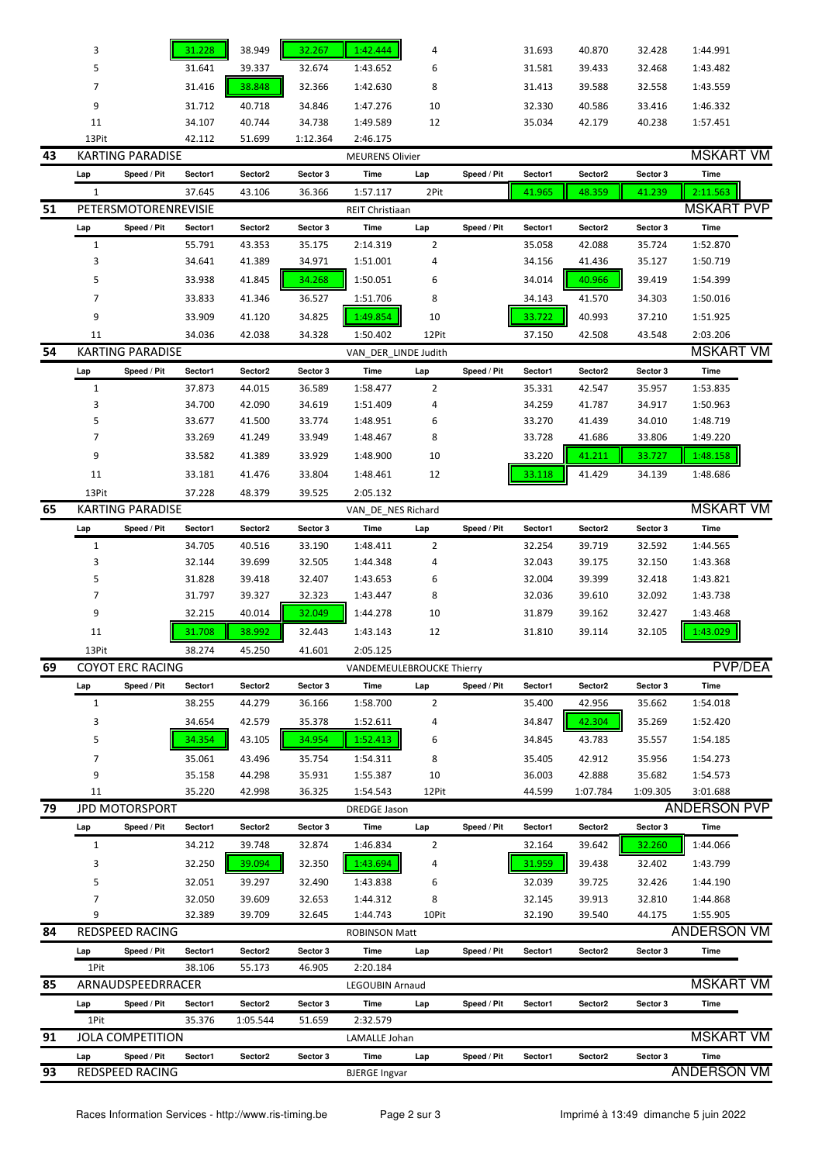|    | 3              |                         | 31.228  | 38.949   | 32.267   | 1:42.444                  | 4     |             | 31.693  | 40.870              | 32.428   | 1:44.991            |  |
|----|----------------|-------------------------|---------|----------|----------|---------------------------|-------|-------------|---------|---------------------|----------|---------------------|--|
|    | 5              |                         | 31.641  | 39.337   | 32.674   | 1:43.652                  | 6     |             | 31.581  | 39.433              | 32.468   | 1:43.482            |  |
|    | 7              |                         | 31.416  | 38.848   | 32.366   | 1:42.630                  | 8     |             | 31.413  | 39.588              | 32.558   | 1:43.559            |  |
|    | 9              |                         | 31.712  | 40.718   | 34.846   | 1:47.276                  | 10    |             | 32.330  | 40.586              | 33.416   | 1:46.332            |  |
|    | 11             |                         | 34.107  | 40.744   | 34.738   | 1:49.589                  | 12    |             | 35.034  | 42.179              | 40.238   | 1:57.451            |  |
|    | 13Pit          |                         | 42.112  | 51.699   | 1:12.364 | 2:46.175                  |       |             |         |                     |          |                     |  |
| 43 |                | <b>KARTING PARADISE</b> |         |          |          | <b>MEURENS Olivier</b>    |       |             |         |                     |          | <b>MSKART VM</b>    |  |
|    | Lap            | Speed / Pit             | Sector1 | Sector2  | Sector 3 | Time                      | Lap   | Speed / Pit | Sector1 | Sector2             | Sector 3 | Time                |  |
|    | $\mathbf{1}$   |                         | 37.645  | 43.106   | 36.366   | 1:57.117                  | 2Pit  |             | 41.965  | 48.359              | 41.239   | 2:11.563            |  |
| 51 |                | PETERSMOTORENREVISIE    |         |          |          | <b>REIT Christiaan</b>    |       |             |         |                     |          | <b>MSKART PVP</b>   |  |
|    | Lap            | Speed / Pit             | Sector1 | Sector2  | Sector 3 | Time                      | Lap   | Speed / Pit | Sector1 | Sector2             | Sector 3 | Time                |  |
|    | $\mathbf{1}$   |                         | 55.791  | 43.353   | 35.175   | 2:14.319                  | 2     |             | 35.058  | 42.088              | 35.724   | 1:52.870            |  |
|    | 3              |                         | 34.641  | 41.389   | 34.971   | 1:51.001                  | 4     |             | 34.156  | 41.436              | 35.127   | 1:50.719            |  |
|    | 5              |                         | 33.938  | 41.845   | 34.268   | 1:50.051                  | 6     |             | 34.014  | 40.966              | 39.419   | 1:54.399            |  |
|    | $\overline{7}$ |                         | 33.833  | 41.346   | 36.527   | 1:51.706                  | 8     |             | 34.143  | 41.570              | 34.303   | 1:50.016            |  |
|    | 9              |                         | 33.909  | 41.120   | 34.825   | 1:49.854                  | 10    |             | 33.722  | 40.993              | 37.210   | 1:51.925            |  |
|    | 11             |                         | 34.036  | 42.038   | 34.328   | 1:50.402                  | 12Pit |             | 37.150  | 42.508              | 43.548   | 2:03.206            |  |
| 54 |                | <b>KARTING PARADISE</b> |         |          |          | VAN DER LINDE Judith      |       |             |         |                     |          | <b>MSKART VM</b>    |  |
|    | Lap            | Speed / Pit             | Sector1 | Sector2  | Sector 3 | Time                      | Lap   | Speed / Pit | Sector1 | Sector2             | Sector 3 | Time                |  |
|    | $\mathbf{1}$   |                         | 37.873  | 44.015   | 36.589   | 1:58.477                  | 2     |             | 35.331  | 42.547              | 35.957   | 1:53.835            |  |
|    | 3              |                         | 34.700  | 42.090   | 34.619   | 1:51.409                  | 4     |             | 34.259  | 41.787              | 34.917   | 1:50.963            |  |
|    | 5              |                         | 33.677  | 41.500   | 33.774   | 1:48.951                  | 6     |             | 33.270  | 41.439              | 34.010   | 1:48.719            |  |
|    | 7              |                         | 33.269  | 41.249   | 33.949   | 1:48.467                  | 8     |             | 33.728  | 41.686              | 33.806   | 1:49.220            |  |
|    | 9              |                         | 33.582  | 41.389   | 33.929   | 1:48.900                  | 10    |             | 33.220  | 41.211              | 33.727   | 1:48.158            |  |
|    | 11             |                         | 33.181  | 41.476   | 33.804   | 1:48.461                  | 12    |             | 33.118  | 41.429              | 34.139   | 1:48.686            |  |
|    | 13Pit          |                         | 37.228  | 48.379   | 39.525   | 2:05.132                  |       |             |         |                     |          |                     |  |
| 65 |                | <b>KARTING PARADISE</b> |         |          |          | VAN DE NES Richard        |       |             |         |                     |          | <b>MSKART VM</b>    |  |
|    | Lap            | Speed / Pit             | Sector1 | Sector2  | Sector 3 | Time                      | Lap   | Speed / Pit | Sector1 | Sector2             | Sector 3 | Time                |  |
|    | $\mathbf{1}$   |                         | 34.705  | 40.516   | 33.190   | 1:48.411                  | 2     |             | 32.254  | 39.719              | 32.592   | 1:44.565            |  |
|    | 3              |                         | 32.144  | 39.699   | 32.505   | 1:44.348                  | 4     |             | 32.043  | 39.175              | 32.150   | 1:43.368            |  |
|    | 5              |                         | 31.828  | 39.418   | 32.407   | 1:43.653                  | 6     |             | 32.004  | 39.399              | 32.418   | 1:43.821            |  |
|    | 7              |                         | 31.797  | 39.327   | 32.323   | 1:43.447                  | 8     |             | 32.036  | 39.610              | 32.092   | 1:43.738            |  |
|    | 9              |                         | 32.215  | 40.014   | 32.049   | 1:44.278                  | 10    |             | 31.879  | 39.162              | 32.427   | 1:43.468            |  |
|    | 11             |                         | 31.708  | 38.992   | 32.443   | 1:43.143                  | 12    |             | 31.810  | 39.114              | 32.105   | 1:43.029            |  |
|    | 13Pit          |                         | 38.274  | 45.250   | 41.601   | 2:05.125                  |       |             |         |                     |          |                     |  |
| 69 |                | <b>COYOT ERC RACING</b> |         |          |          | VANDEMEULEBROUCKE Thierry |       |             |         |                     |          | <b>PVP/DEA</b>      |  |
|    | Lap            | Speed / Pit             | Sector1 | Sector2  | Sector 3 | Time                      | Lap   | Speed / Pit | Sector1 | Sector2             | Sector 3 | Time                |  |
|    | $\mathbf{1}$   |                         | 38.255  | 44.279   | 36.166   | 1:58.700                  | 2     |             | 35.400  | 42.956              | 35.662   | 1:54.018            |  |
|    | 3              |                         | 34.654  | 42.579   | 35.378   | 1:52.611                  | 4     |             | 34.847  | 42.304              | 35.269   | 1:52.420            |  |
|    | 5              |                         | 34.354  | 43.105   | 34.954   | 1:52.413                  | 6     |             | 34.845  | 43.783              | 35.557   | 1:54.185            |  |
|    | 7              |                         | 35.061  | 43.496   | 35.754   | 1:54.311                  | 8     |             | 35.405  | 42.912              | 35.956   | 1:54.273            |  |
|    | 9              |                         | 35.158  | 44.298   | 35.931   | 1:55.387                  | 10    |             | 36.003  | 42.888              | 35.682   | 1:54.573            |  |
|    | 11             |                         | 35.220  | 42.998   | 36.325   | 1:54.543                  | 12Pit |             | 44.599  | 1:07.784            | 1:09.305 | 3:01.688            |  |
| 79 |                | <b>JPD MOTORSPORT</b>   |         |          |          | <b>DREDGE Jason</b>       |       |             |         |                     |          | <b>ANDERSON PVP</b> |  |
|    | Lap            | Speed / Pit             | Sector1 | Sector2  | Sector 3 | Time                      | Lap   | Speed / Pit | Sector1 | Sector2             | Sector 3 | Time                |  |
|    | $\mathbf{1}$   |                         | 34.212  | 39.748   | 32.874   | 1:46.834                  | 2     |             | 32.164  | 39.642              | 32.260   | 1:44.066            |  |
|    | 3              |                         | 32.250  | 39.094   | 32.350   | 1:43.694                  | 4     |             | 31.959  | 39.438              | 32.402   | 1:43.799            |  |
|    | 5              |                         | 32.051  | 39.297   | 32.490   | 1:43.838                  | 6     |             | 32.039  | 39.725              | 32.426   | 1:44.190            |  |
|    | $\overline{7}$ |                         | 32.050  | 39.609   | 32.653   | 1:44.312                  | 8     |             | 32.145  | 39.913              | 32.810   | 1:44.868            |  |
|    | 9              |                         | 32.389  | 39.709   | 32.645   | 1:44.743                  | 10Pit |             | 32.190  | 39.540              | 44.175   | 1:55.905            |  |
| 84 |                | REDSPEED RACING         |         |          |          | <b>ROBINSON Matt</b>      |       |             |         |                     |          | <b>ANDERSON VM</b>  |  |
|    | Lap            | Speed / Pit             | Sector1 | Sector2  | Sector 3 | Time                      | Lap   | Speed / Pit | Sector1 | Sector2             | Sector 3 | Time                |  |
|    | 1Pit           |                         | 38.106  | 55.173   | 46.905   | 2:20.184                  |       |             |         |                     |          |                     |  |
| 85 |                | ARNAUDSPEEDRRACER       |         |          |          | LEGOUBIN Arnaud           |       |             |         |                     |          | <b>MSKART VM</b>    |  |
|    | Lap            | Speed / Pit             | Sector1 | Sector2  | Sector 3 | Time                      | Lap   | Speed / Pit | Sector1 | Sector <sub>2</sub> | Sector 3 | Time                |  |
|    | 1Pit           |                         | 35.376  | 1:05.544 | 51.659   | 2:32.579                  |       |             |         |                     |          |                     |  |
| 91 |                | <b>JOLA COMPETITION</b> |         |          |          | LAMALLE Johan             |       |             |         |                     |          | <b>MSKART VM</b>    |  |
|    | Lap            | Speed / Pit             | Sector1 | Sector2  | Sector 3 | Time                      | Lap   | Speed / Pit | Sector1 | Sector2             | Sector 3 | Time                |  |
| 93 |                | REDSPEED RACING         |         |          |          | <b>BJERGE Ingvar</b>      |       |             |         |                     |          | <b>ANDERSON VM</b>  |  |